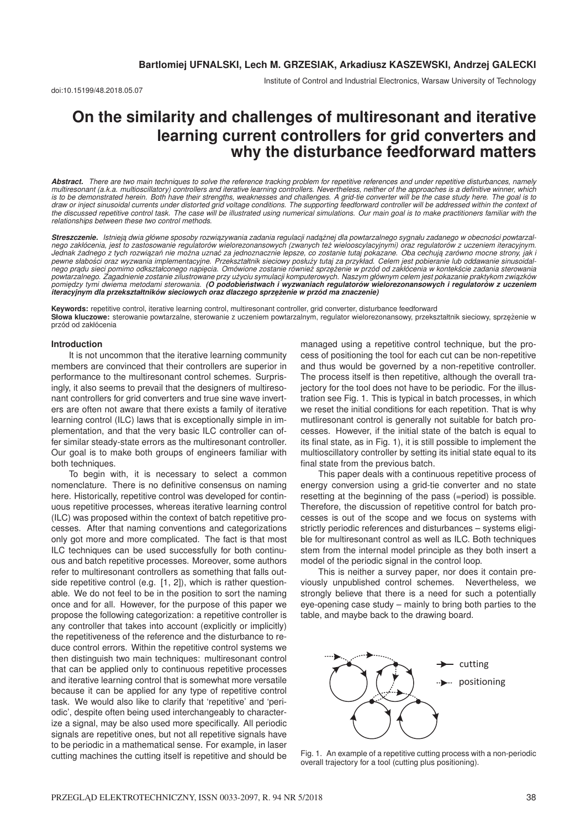doi:10.15199/48.2018.05.07

Institute of Control and Industrial Electronics, Warsaw University of Technology

# **On the similarity and challenges of multiresonant and iterative learning current controllers for grid converters and why the disturbance feedforward matters**

*Abstract. There are two main techniques to solve the reference tracking problem for repetitive references and under repetitive disturbances, namely multiresonant (a.k.a. multioscillatory) controllers and iterative learning controllers. Nevertheless, neither of the approaches is a definitive winner, which* is to be demonstrated herein. Both have their strengths, weaknesses and challenges. A grid-tie converter will be the case study here. The goal is to<br>draw or inject sinusoidal currents under distorted grid voltage condition *the discussed repetitive control task. The case will be illustrated using numerical simulations. Our main goal is to make practitioners familiar with the relationships between these two control methods.*

**Streszczenie.** Istnieją dwia główne sposoby rozwiązywania zadania regulacji nadążnej dla powtarzalnego sygnału zadanego w obecności powtarzal*nego zakłócenia, jest to zastosowanie regulatorów wielorezonansowych (zwanych tez wielooscylacyjnymi) oraz regulatorów z uczeniem iteracyjnym. ˙* Jednak żadnego z tych rozwiązań nie można uznać za jednoznacznie lepsze, co zostanie tutaj pokazane. Oba cechują zarówno mocne strony, jak l<br>pewne słabości oraz wyzwania implementacyjne. Przekształtnik sieciowy posłuży tut nego prądu sieci pomimo odkształconego napięcia. Omówione zostanie również sprzężenie w przód od zakłócenia w kontekście zadania sterowania<br>powtarzalnego. Zagadnienie zostanie zilustrowane przy użyciu symulacji komputerowy *pomi ˛edzy tymi dwiema metodami sterowania. (O podobienstwach i wyzwaniach regulatorów wielorezonansowych i regulatorów z uczeniem ´ iteracyjnym dla przekształtników sieciowych oraz dlaczego sprzężenie w przód ma znaczenie)* 

**Keywords:** repetitive control, iterative learning control, multiresonant controller, grid converter, disturbance feedforward Słowa kluczowe: sterowanie powtarzalne, sterowanie z uczeniem powtarzalnym, regulator wielorezonansowy, przekształtnik sieciowy, sprzężenie w przód od zakłócenia

#### **Introduction**

It is not uncommon that the iterative learning community members are convinced that their controllers are superior in performance to the multiresonant control schemes. Surprisingly, it also seems to prevail that the designers of multiresonant controllers for grid converters and true sine wave inverters are often not aware that there exists a family of iterative learning control (ILC) laws that is exceptionally simple in implementation, and that the very basic ILC controller can offer similar steady-state errors as the multiresonant controller. Our goal is to make both groups of engineers familiar with both techniques.

To begin with, it is necessary to select a common nomenclature. There is no definitive consensus on naming here. Historically, repetitive control was developed for continuous repetitive processes, whereas iterative learning control (ILC) was proposed within the context of batch repetitive processes. After that naming conventions and categorizations only got more and more complicated. The fact is that most ILC techniques can be used successfully for both continuous and batch repetitive processes. Moreover, some authors refer to multiresonant controllers as something that falls outside repetitive control (e.g. [1, 2]), which is rather questionable. We do not feel to be in the position to sort the naming once and for all. However, for the purpose of this paper we propose the following categorization: a repetitive controller is any controller that takes into account (explicitly or implicitly) the repetitiveness of the reference and the disturbance to reduce control errors. Within the repetitive control systems we then distinguish two main techniques: multiresonant control that can be applied only to continuous repetitive processes and iterative learning control that is somewhat more versatile because it can be applied for any type of repetitive control task. We would also like to clarify that 'repetitive' and 'periodic', despite often being used interchangeably to characterize a signal, may be also used more specifically. All periodic signals are repetitive ones, but not all repetitive signals have to be periodic in a mathematical sense. For example, in laser cutting machines the cutting itself is repetitive and should be managed using a repetitive control technique, but the process of positioning the tool for each cut can be non-repetitive and thus would be governed by a non-repetitive controller. The process itself is then repetitive, although the overall trajectory for the tool does not have to be periodic. For the illustration see Fig. 1. This is typical in batch processes, in which we reset the initial conditions for each repetition. That is why mutliresonant control is generally not suitable for batch processes. However, if the initial state of the batch is equal to its final state, as in Fig. 1), it is still possible to implement the multioscillatory controller by setting its initial state equal to its final state from the previous batch.

This paper deals with a continuous repetitive process of energy conversion using a grid-tie converter and no state resetting at the beginning of the pass (=period) is possible. Therefore, the discussion of repetitive control for batch processes is out of the scope and we focus on systems with strictly periodic references and disturbances – systems eligible for multiresonant control as well as ILC. Both techniques stem from the internal model principle as they both insert a model of the periodic signal in the control loop.

This is neither a survey paper, nor does it contain previously unpublished control schemes. Nevertheless, we strongly believe that there is a need for such a potentially eye-opening case study – mainly to bring both parties to the table, and maybe back to the drawing board.



Fig. 1. An example of a repetitive cutting process with a non-periodic overall trajectory for a tool (cutting plus positioning).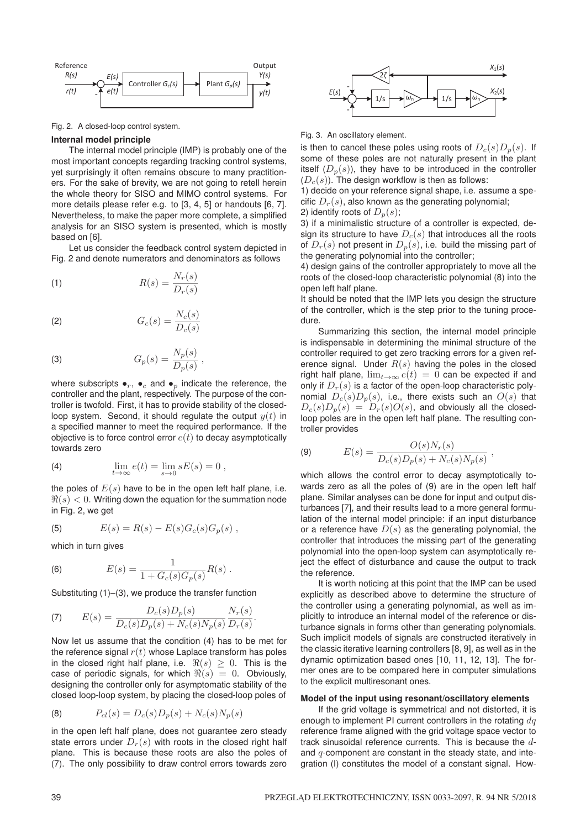

Fig. 2. A closed-loop control system.

#### **Internal model principle**

The internal model principle (IMP) is probably one of the most important concepts regarding tracking control systems, yet surprisingly it often remains obscure to many practitioners. For the sake of brevity, we are not going to retell herein the whole theory for SISO and MIMO control systems. For more details please refer e.g. to [3, 4, 5] or handouts [6, 7]. Nevertheless, to make the paper more complete, a simplified analysis for an SISO system is presented, which is mostly based on [6].

Let us consider the feedback control system depicted in Fig. 2 and denote numerators and denominators as follows

(1) 
$$
R(s) = \frac{N_r(s)}{D_r(s)}
$$

$$
(2) \tGc(s) = \frac{N_c(s)}{D_c(s)}
$$

(3) 
$$
G_p(s) = \frac{N_p(s)}{D_p(s)},
$$

where subscripts  $\bullet_r$ ,  $\bullet_c$  and  $\bullet_p$  indicate the reference, the controller and the plant, respectively. The purpose of the controller is twofold. First, it has to provide stability of the closedloop system. Second, it should regulate the output  $y(t)$  in a specified manner to meet the required performance. If the objective is to force control error  $e(t)$  to decay asymptotically towards zero

(4) 
$$
\lim_{t \to \infty} e(t) = \lim_{s \to 0} sE(s) = 0,
$$

the poles of  $E(s)$  have to be in the open left half plane, i.e.  $\Re(s) < 0$ . Writing down the equation for the summation node in Fig. 2, we get

(5) 
$$
E(s) = R(s) - E(s)G_c(s)G_p(s) ,
$$

which in turn gives

(6) 
$$
E(s) = \frac{1}{1 + G_c(s)G_p(s)}R(s) .
$$

Substituting (1)–(3), we produce the transfer function

(7) 
$$
E(s) = \frac{D_c(s)D_p(s)}{D_c(s)D_p(s) + N_c(s)N_p(s)} \frac{N_r(s)}{D_r(s)}
$$

Now let us assume that the condition (4) has to be met for the reference signal  $r(t)$  whose Laplace transform has poles in the closed right half plane, i.e.  $\Re(s) \ge 0$ . This is the case of periodic signals, for which  $\Re(s) = 0$ . Obviously, designing the controller only for asymptomatic stability of the closed loop-loop system, by placing the closed-loop poles of

.

(8) 
$$
P_{cl}(s) = D_c(s)D_p(s) + N_c(s)N_p(s)
$$

in the open left half plane, does not guarantee zero steady state errors under  $D_r(s)$  with roots in the closed right half plane. This is because these roots are also the poles of (7). The only possibility to draw control errors towards zero



Fig. 3. An oscillatory element.

is then to cancel these poles using roots of  $D_c(s)D_n(s)$ . If some of these poles are not naturally present in the plant itself  $(D_n(s))$ , they have to be introduced in the controller  $(D<sub>c</sub>(s))$ . The design workflow is then as follows:

1) decide on your reference signal shape, i.e. assume a specific  $D<sub>x</sub>(s)$ , also known as the generating polynomial;

2) identify roots of  $D_n(s)$ ;

3) if a minimalistic structure of a controller is expected, design its structure to have  $D<sub>c</sub>(s)$  that introduces all the roots of  $D_r(s)$  not present in  $D_n(s)$ , i.e. build the missing part of the generating polynomial into the controller;

4) design gains of the controller appropriately to move all the roots of the closed-loop characteristic polynomial (8) into the open left half plane.

It should be noted that the IMP lets you design the structure of the controller, which is the step prior to the tuning procedure.

Summarizing this section, the internal model principle is indispensable in determining the minimal structure of the controller required to get zero tracking errors for a given reference signal. Under  $R(s)$  having the poles in the closed right half plane,  $\lim_{t\to\infty}e(t)=0$  can be expected if and only if  $D_r(s)$  is a factor of the open-loop characteristic polynomial  $D_c(s)D_p(s)$ , i.e., there exists such an  $O(s)$  that  $D_c(s)D_n(s) = D_r(s)O(s)$ , and obviously all the closedloop poles are in the open left half plane. The resulting controller provides

(9) 
$$
E(s) = \frac{O(s)N_r(s)}{D_c(s)D_p(s) + N_c(s)N_p(s)},
$$

which allows the control error to decay asymptotically towards zero as all the poles of (9) are in the open left half plane. Similar analyses can be done for input and output disturbances [7], and their results lead to a more general formulation of the internal model principle: if an input disturbance or a reference have  $D(s)$  as the generating polynomial, the controller that introduces the missing part of the generating polynomial into the open-loop system can asymptotically reject the effect of disturbance and cause the output to track the reference.

It is worth noticing at this point that the IMP can be used explicitly as described above to determine the structure of the controller using a generating polynomial, as well as implicitly to introduce an internal model of the reference or disturbance signals in forms other than generating polynomials. Such implicit models of signals are constructed iteratively in the classic iterative learning controllers [8, 9], as well as in the dynamic optimization based ones [10, 11, 12, 13]. The former ones are to be compared here in computer simulations to the explicit multiresonant ones.

#### **Model of the input using resonant/oscillatory elements**

If the grid voltage is symmetrical and not distorted, it is enough to implement PI current controllers in the rotating  $dq$ reference frame aligned with the grid voltage space vector to track sinusoidal reference currents. This is because the dand  $q$ -component are constant in the steady state, and integration (I) constitutes the model of a constant signal. How-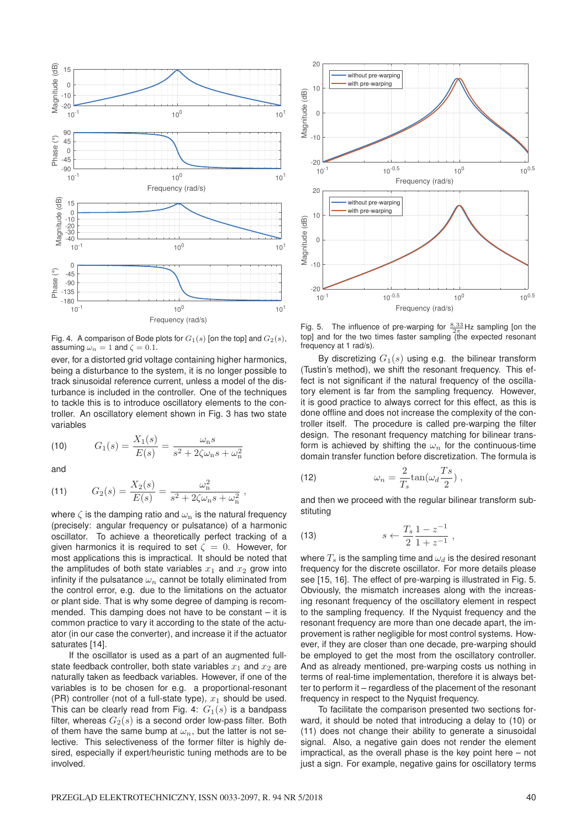

Fig. 4. A comparison of Bode plots for  $G_1(s)$  [on the top] and  $G_2(s)$ , assuming  $\omega_n = 1$  and  $\zeta = 0.1$ .

ever, for a distorted grid voltage containing higher harmonics, being a disturbance to the system, it is no longer possible to track sinusoidal reference current, unless a model of the disturbance is included in the controller. One of the techniques to tackle this is to introduce oscillatory elements to the controller. An oscillatory element shown in Fig. 3 has two state variables

(10) 
$$
G_1(s) = \frac{X_1(s)}{E(s)} = \frac{\omega_n s}{s^2 + 2\zeta \omega_n s + \omega_n^2}
$$

and

(11) 
$$
G_2(s) = \frac{X_2(s)}{E(s)} = \frac{\omega_n^2}{s^2 + 2\zeta\omega_n s + \omega_n^2},
$$

where  $\zeta$  is the damping ratio and  $\omega_n$  is the natural frequency (precisely: angular frequency or pulsatance) of a harmonic oscillator. To achieve a theoretically perfect tracking of a given harmonics it is required to set  $\zeta = 0$ . However, for most applications this is impractical. It should be noted that the amplitudes of both state variables  $x_1$  and  $x_2$  grow into infinity if the pulsatance  $\omega_n$  cannot be totally eliminated from the control error, e.g. due to the limitations on the actuator or plant side. That is why some degree of damping is recommended. This damping does not have to be constant – it is common practice to vary it according to the state of the actuator (in our case the converter), and increase it if the actuator saturates [14].

If the oscillator is used as a part of an augmented fullstate feedback controller, both state variables  $x_1$  and  $x_2$  are naturally taken as feedback variables. However, if one of the variables is to be chosen for e.g. a proportional-resonant (PR) controller (not of a full-state type),  $x_1$  should be used. This can be clearly read from Fig. 4:  $G_1(s)$  is a bandpass filter, whereas  $G_2(s)$  is a second order low-pass filter. Both of them have the same bump at  $\omega_n$ , but the latter is not selective. This selectiveness of the former filter is highly desired, especially if expert/heuristic tuning methods are to be involved.



Fig. 5. The influence of pre-warping for  $\frac{8.33}{2\pi}$  Hz sampling [on the top] and for the two times faster sampling (the expected resonant frequency at 1 rad/s).

By discretizing  $G_1(s)$  using e.g. the bilinear transform (Tustin's method), we shift the resonant frequency. This effect is not significant if the natural frequency of the oscillatory element is far from the sampling frequency. However, it is good practice to always correct for this effect, as this is done offline and does not increase the complexity of the controller itself. The procedure is called pre-warping the filter design. The resonant frequency matching for bilinear transform is achieved by shifting the  $\omega_n$  for the continuous-time domain transfer function before discretization. The formula is

(12) 
$$
\omega_n = \frac{2}{T_s} \tan(\omega_d \frac{T_s}{2}),
$$

and then we proceed with the regular bilinear transform substituting

(13) 
$$
s \leftarrow \frac{T_s}{2} \frac{1 - z^{-1}}{1 + z^{-1}},
$$

where  $T_s$  is the sampling time and  $\omega_d$  is the desired resonant frequency for the discrete oscillator. For more details please see [15, 16]. The effect of pre-warping is illustrated in Fig. 5. Obviously, the mismatch increases along with the increasing resonant frequency of the oscillatory element in respect to the sampling frequency. If the Nyquist frequency and the resonant frequency are more than one decade apart, the improvement is rather negligible for most control systems. However, if they are closer than one decade, pre-warping should be employed to get the most from the oscillatory controller. And as already mentioned, pre-warping costs us nothing in terms of real-time implementation, therefore it is always better to perform it – regardless of the placement of the resonant frequency in respect to the Nyquist frequency.

To facilitate the comparison presented two sections forward, it should be noted that introducing a delay to (10) or (11) does not change their ability to generate a sinusoidal signal. Also, a negative gain does not render the element impractical, as the overall phase is the key point here – not just a sign. For example, negative gains for oscillatory terms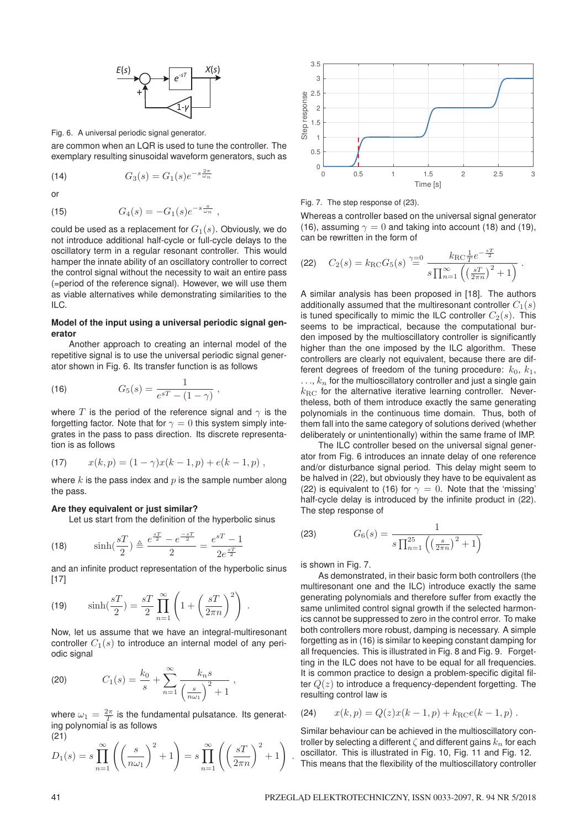

Fig. 6. A universal periodic signal generator.

are common when an LQR is used to tune the controller. The exemplary resulting sinusoidal waveform generators, such as

(14) 
$$
G_3(s) = G_1(s)e^{-s\frac{2\pi}{\omega_n}}
$$

or

(15) 
$$
G_4(s) = -G_1(s)e^{-s\frac{\pi}{\omega_n}},
$$

could be used as a replacement for  $G_1(s)$ . Obviously, we do not introduce additional half-cycle or full-cycle delays to the oscillatory term in a regular resonant controller. This would hamper the innate ability of an oscillatory controller to correct the control signal without the necessity to wait an entire pass (=period of the reference signal). However, we will use them as viable alternatives while demonstrating similarities to the ILC.

## **Model of the input using a universal periodic signal generator**

Another approach to creating an internal model of the repetitive signal is to use the universal periodic signal generator shown in Fig. 6. Its transfer function is as follows

(16) 
$$
G_5(s) = \frac{1}{e^{sT} - (1 - \gamma)},
$$

where T is the period of the reference signal and  $\gamma$  is the forgetting factor. Note that for  $\gamma = 0$  this system simply integrates in the pass to pass direction. Its discrete representation is as follows

(17) 
$$
x(k,p) = (1 - \gamma)x(k-1,p) + e(k-1,p),
$$

where  $k$  is the pass index and  $p$  is the sample number along the pass.

## **Are they equivalent or just similar?**

Let us start from the definition of the hyperbolic sinus

(18) 
$$
\sinh(\frac{sT}{2}) \triangleq \frac{e^{\frac{sT}{2}} - e^{\frac{-sT}{2}}}{2} = \frac{e^{sT} - 1}{2e^{\frac{sT}{2}}}
$$

and an infinite product representation of the hyperbolic sinus [17]

(19) 
$$
\sinh(\frac{sT}{2}) = \frac{sT}{2} \prod_{n=1}^{\infty} \left( 1 + \left( \frac{sT}{2\pi n} \right)^2 \right).
$$

Now, let us assume that we have an integral-multiresonant controller  $C_1(s)$  to introduce an internal model of any periodic signal

(20) 
$$
C_1(s) = \frac{k_0}{s} + \sum_{n=1}^{\infty} \frac{k_n s}{\left(\frac{s}{n\omega_1}\right)^2 + 1},
$$

where  $\omega_1 = \frac{2\pi}{T}$  is the fundamental pulsatance. Its generating polynomial is as follows (21)

$$
D_1(s) = s \prod_{n=1}^{\infty} \left( \left( \frac{s}{n\omega_1} \right)^2 + 1 \right) = s \prod_{n=1}^{\infty} \left( \left( \frac{s}{2\pi n} \right)^2 + 1 \right)
$$



Fig. 7. The step response of (23).

Whereas a controller based on the universal signal generator (16), assuming  $\gamma = 0$  and taking into account (18) and (19), can be rewritten in the form of

(22) 
$$
C_2(s) = k_{\rm RC} G_5(s) \stackrel{\gamma=0}{=} \frac{k_{\rm RC} \frac{1}{T} e^{-\frac{sT}{2}}}{s \prod_{n=1}^{\infty} \left( \left( \frac{sT}{2\pi n} \right)^2 + 1 \right)}.
$$

A similar analysis has been proposed in [18]. The authors additionally assumed that the multiresonant controller  $C_1(s)$ is tuned specifically to mimic the ILC controller  $C_2(s)$ . This seems to be impractical, because the computational burden imposed by the multioscillatory controller is significantly higher than the one imposed by the ILC algorithm. These controllers are clearly not equivalent, because there are different degrees of freedom of the tuning procedure:  $k_0$ ,  $k_1$ ,  $\ldots$ ,  $k_n$  for the multioscillatory controller and just a single gain  $k_{\rm RC}$  for the alternative iterative learning controller. Nevertheless, both of them introduce exactly the same generating polynomials in the continuous time domain. Thus, both of them fall into the same category of solutions derived (whether deliberately or unintentionally) within the same frame of IMP.

The ILC controller besed on the universal signal generator from Fig. 6 introduces an innate delay of one reference and/or disturbance signal period. This delay might seem to be halved in (22), but obviously they have to be equivalent as (22) is equivalent to (16) for  $\gamma = 0$ . Note that the 'missing' half-cycle delay is introduced by the infinite product in (22). The step response of

(23) 
$$
G_6(s) = \frac{1}{s \prod_{n=1}^{25} \left( \left( \frac{s}{2\pi n} \right)^2 + 1 \right)}
$$

is shown in Fig. 7.

.

As demonstrated, in their basic form both controllers (the multiresonant one and the ILC) introduce exactly the same generating polynomials and therefore suffer from exactly the same unlimited control signal growth if the selected harmonics cannot be suppressed to zero in the control error. To make both controllers more robust, damping is necessary. A simple forgetting as in (16) is similar to keeping constant damping for all frequencies. This is illustrated in Fig. 8 and Fig. 9. Forgetting in the ILC does not have to be equal for all frequencies. It is common practice to design a problem-specific digital filter  $Q(z)$  to introduce a frequency-dependent forgetting. The resulting control law is

(24) 
$$
x(k,p) = Q(z)x(k-1,p) + k_{\text{RC}}e(k-1,p).
$$

Similar behaviour can be achieved in the multioscillatory controller by selecting a different  $\zeta$  and different gains  $k_n$  for each oscillator. This is illustrated in Fig. 10, Fig. 11 and Fig. 12. This means that the flexibility of the multioscillatory controller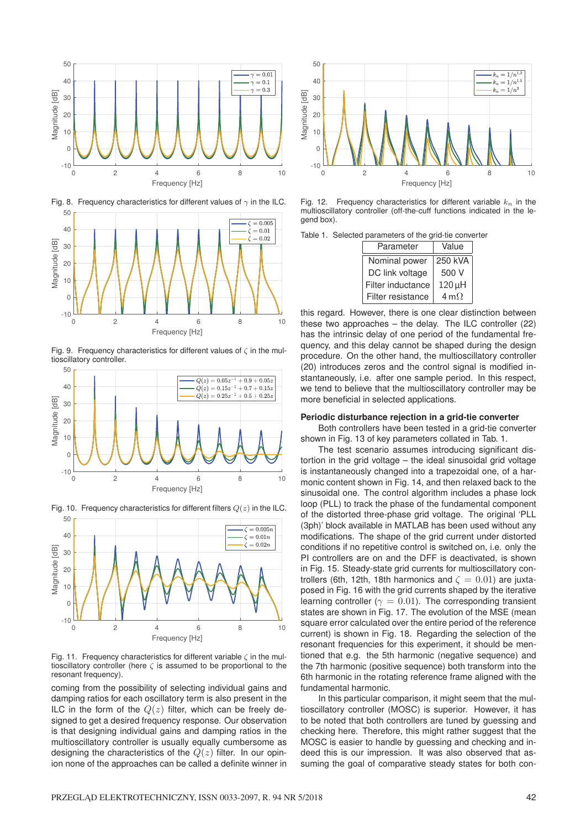

Fig. 8. Frequency characteristics for different values of  $\gamma$  in the ILC.



Fig. 9. Frequency characteristics for different values of  $\zeta$  in the multioscillatory controller.



Fig. 10. Frequency characteristics for different filters  $Q(z)$  in the ILC.



Fig. 11. Frequency characteristics for different variable  $\zeta$  in the multioscillatory controller (here  $\zeta$  is assumed to be proportional to the resonant frequency).

coming from the possibility of selecting individual gains and damping ratios for each oscillatory term is also present in the ILC in the form of the  $Q(z)$  filter, which can be freely designed to get a desired frequency response. Our observation is that designing individual gains and damping ratios in the multioscillatory controller is usually equally cumbersome as designing the characteristics of the  $Q(z)$  filter. In our opinion none of the approaches can be called a definite winner in



Fig. 12. Frequency characteristics for different variable  $k_n$  in the multioscillatory controller (off-the-cuff functions indicated in the legend box).

Table 1. Selected parameters of the grid-tie converter

| Parameter         | Value               |  |
|-------------------|---------------------|--|
| Nominal power     | 250 kVA             |  |
| DC link voltage   | 500 V               |  |
| Filter inductance | 120 µH              |  |
| Filter resistance | $4 \text{ m}\Omega$ |  |

this regard. However, there is one clear distinction between these two approaches  $-$  the delay. The ILC controller (22) has the intrinsic delay of one period of the fundamental frequency, and this delay cannot be shaped during the design procedure. On the other hand, the multioscillatory controller (20) introduces zeros and the control signal is modified instantaneously, i.e. after one sample period. In this respect, we tend to believe that the multioscillatory controller may be more beneficial in selected applications.

#### **Periodic disturbance rejection in a grid-tie converter**

Both controllers have been tested in a grid-tie converter shown in Fig. 13 of key parameters collated in Tab. 1.

The test scenario assumes introducing significant distortion in the grid voltage – the ideal sinusoidal grid voltage is instantaneously changed into a trapezoidal one, of a harmonic content shown in Fig. 14, and then relaxed back to the sinusoidal one. The control algorithm includes a phase lock loop (PLL) to track the phase of the fundamental component of the distorted three-phase grid voltage. The original 'PLL (3ph)' block available in MATLAB has been used without any modifications. The shape of the grid current under distorted conditions if no repetitive control is switched on, i.e. only the PI controllers are on and the DFF is deactivated, is shown in Fig. 15. Steady-state grid currents for multioscillatory controllers (6th, 12th, 18th harmonics and  $\zeta = 0.01$ ) are juxtaposed in Fig. 16 with the grid currents shaped by the iterative learning controller ( $\gamma = 0.01$ ). The corresponding transient states are shown in Fig. 17. The evolution of the MSE (mean square error calculated over the entire period of the reference current) is shown in Fig. 18. Regarding the selection of the resonant frequencies for this experiment, it should be mentioned that e.g. the 5th harmonic (negative sequence) and the 7th harmonic (positive sequence) both transform into the 6th harmonic in the rotating reference frame aligned with the fundamental harmonic.

In this particular comparison, it might seem that the multioscillatory controller (MOSC) is superior. However, it has to be noted that both controllers are tuned by guessing and checking here. Therefore, this might rather suggest that the MOSC is easier to handle by guessing and checking and indeed this is our impression. It was also observed that assuming the goal of comparative steady states for both con-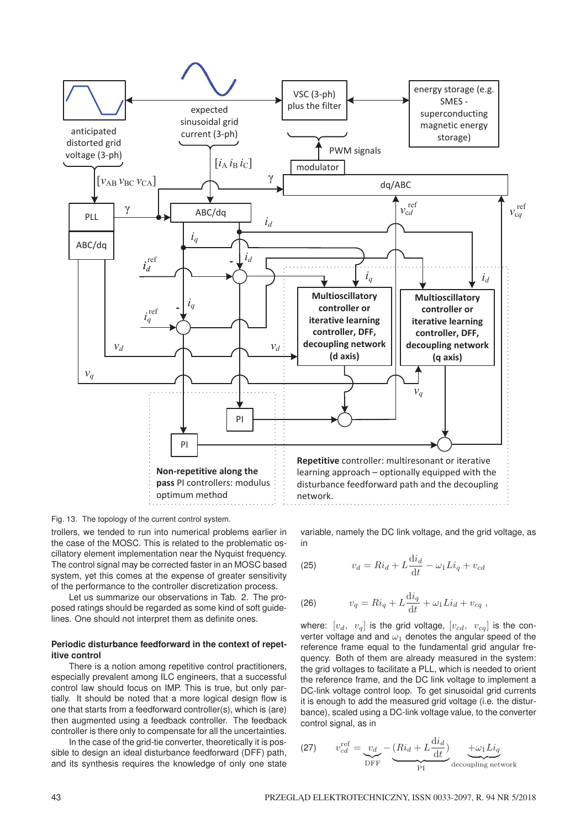

Fig. 13. The topology of the current control system.

trollers, we tended to run into numerical problems earlier in the case of the MOSC. This is related to the problematic oscillatory element implementation near the Nyquist frequency. The control signal may be corrected faster in an MOSC based system, yet this comes at the expense of greater sensitivity of the performance to the controller discretization process.

Let us summarize our observations in Tab. 2. The proposed ratings should be regarded as some kind of soft guidelines. One should not interpret them as definite ones.

## **Periodic disturbance feedforward in the context of repetitive control**

There is a notion among repetitive control practitioners, especially prevalent among ILC engineers, that a successful control law should focus on IMP. This is true, but only partially. It should be noted that a more logical design flow is one that starts from a feedforward controller(s), which is (are) then augmented using a feedback controller. The feedback controller is there only to compensate for all the uncertainties.

In the case of the grid-tie converter, theoretically it is possible to design an ideal disturbance feedforward (DFF) path, and its synthesis requires the knowledge of only one state variable, namely the DC link voltage, and the grid voltage, as in

$$
(25) \t v_d = Ri_d + L\frac{di_d}{dt} - \omega_1 Li_q + v_{cd}
$$

$$
(26) \t v_q = Ri_q + L\frac{\mathrm{d}i_q}{\mathrm{d}t} + \omega_1 Li_d + v_{cq} ,
$$

where:  $[v_d, v_q]$  is the grid voltage,  $[v_{cd}, v_{cq}]$  is the converter voltage and and  $\omega_1$  denotes the angular speed of the reference frame equal to the fundamental grid angular frequency. Both of them are already measured in the system: the grid voltages to facilitate a PLL, which is needed to orient the reference frame, and the DC link voltage to implement a DC-link voltage control loop. To get sinusoidal grid currents it is enough to add the measured grid voltage (i.e. the disturbance), scaled using a DC-link voltage value, to the converter control signal, as in

(27) 
$$
v_{cd}^{\text{ref}} = \underbrace{v_d}_{\text{DFF}} - \underbrace{(R i_d + L \frac{di_d}{dt})}_{\text{PI}} + \underbrace{\omega_1 L i_q}_{\text{decoupling network}}
$$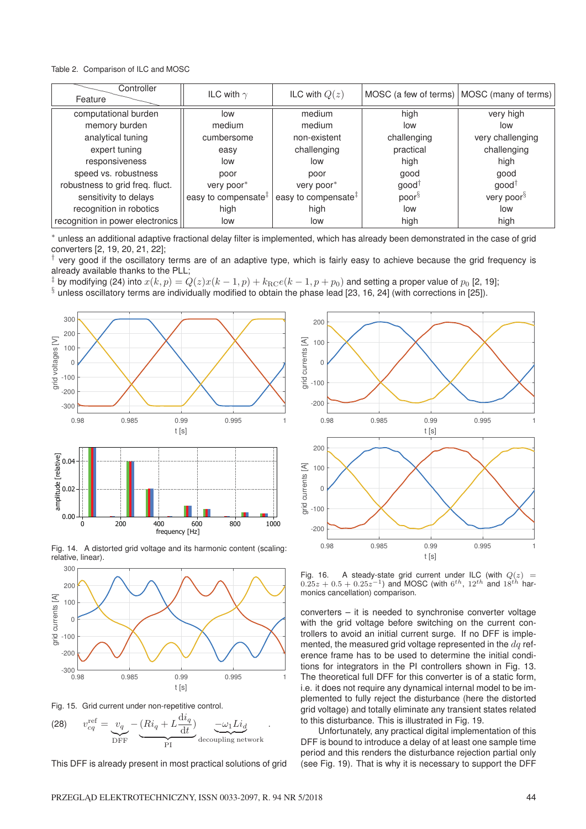Table 2. Comparison of ILC and MOSC

| Controller<br>Feature            | ILC with $\gamma$               | ILC with $Q(z)$                 |                   | MOSC (a few of terms)   MOSC (many of terms) |
|----------------------------------|---------------------------------|---------------------------------|-------------------|----------------------------------------------|
| computational burden             | low                             | medium                          | high              | very high                                    |
| memory burden                    | medium                          | medium                          | low               | low                                          |
| analytical tuning                | cumbersome                      | non-existent                    | challenging       | very challenging                             |
| expert tuning                    | easy                            | challenging                     | practical         | challenging                                  |
| responsiveness                   | low                             | low                             | high              | high                                         |
| speed vs. robustness             | poor                            | poor                            | good              | good                                         |
| robustness to grid freq. fluct.  | very poor*                      | very poor*                      | $good^{\dagger}$  | $good^{\dagger}$                             |
| sensitivity to delays            | easy to compensate <sup>‡</sup> | easy to compensate <sup>‡</sup> | poor <sup>§</sup> | very poor <sup>§</sup>                       |
| recognition in robotics          | high                            | high                            | low               | low                                          |
| recognition in power electronics | low                             | low                             | high              | high                                         |

∗ unless an additional adaptive fractional delay filter is implemented, which has already been demonstrated in the case of grid converters [2, 19, 20, 21, 22];

† very good if the oscillatory terms are of an adaptive type, which is fairly easy to achieve because the grid frequency is already available thanks to the PLL;

<sup>‡</sup> by modifying (24) into  $x(k, p) = Q(z)x(k-1, p) + k_{\text{RC}}e(k-1, p+p_0)$  and setting a proper value of  $p_0$  [2, 19];

 $§$  unless oscillatory terms are individually modified to obtain the phase lead [23, 16, 24] (with corrections in [25]).



Fig. 14. A distorted grid voltage and its harmonic content (scaling: relative, linear).



Fig. 15. Grid current under non-repetitive control.



This DFF is already present in most practical solutions of grid



Fig. 16. A steady-state grid current under ILC (with  $Q(z)$  =  $0.25z + 0.5 + 0.25z^{-1}$ ) and MOSC (with  $6^{th}$ ,  $12^{th}$  and  $18^{th}$  harmonics cancellation) comparison.

converters – it is needed to synchronise converter voltage with the grid voltage before switching on the current controllers to avoid an initial current surge. If no DFF is implemented, the measured grid voltage represented in the  $dq$  reference frame has to be used to determine the initial conditions for integrators in the PI controllers shown in Fig. 13. The theoretical full DFF for this converter is of a static form, i.e. it does not require any dynamical internal model to be implemented to fully reject the disturbance (here the distorted grid voltage) and totally eliminate any transient states related to this disturbance. This is illustrated in Fig. 19.

Unfortunately, any practical digital implementation of this DFF is bound to introduce a delay of at least one sample time period and this renders the disturbance rejection partial only (see Fig. 19). That is why it is necessary to support the DFF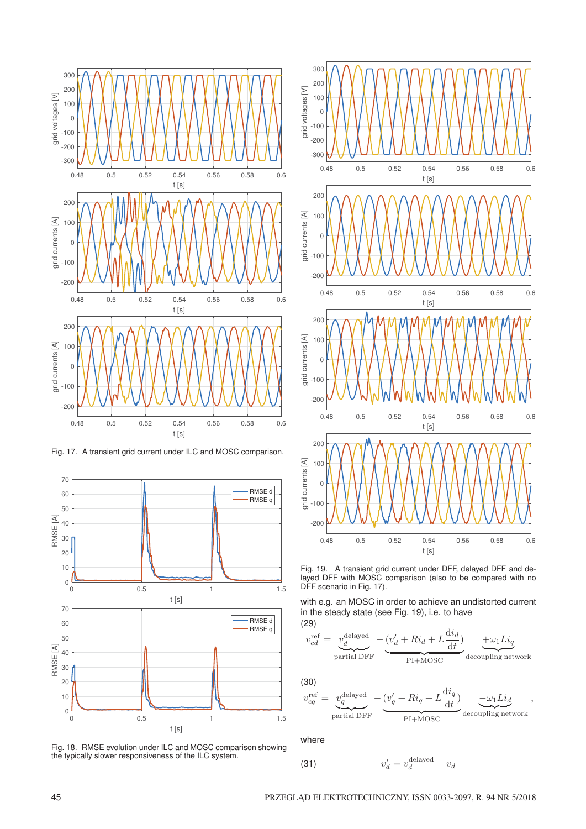

Fig. 17. A transient grid current under ILC and MOSC comparison.



Fig. 18. RMSE evolution under ILC and MOSC comparison showing the typically slower responsiveness of the ILC system.



Fig. 19. A transient grid current under DFF, delayed DFF and delayed DFF with MOSC comparison (also to be compared with no DFF scenario in Fig. 17).

with e.g. an MOSC in order to achieve an undistorted current in the steady state (see Fig. 19), i.e. to have (29)

$$
v_{cd}^{\text{ref}} = \underbrace{v_{d}^{\text{delayed}}}_{\text{partial DFF}} - \underbrace{(v_{d}^{\prime} + Ri_{d} + L \frac{di_{d}}{dt})}_{\text{PI+MOSC}} + \underbrace{+ \omega_{1} Li_{q}}_{\text{decoupling network}}
$$

(30)

$$
v_{cq}^{\text{ref}} = \underbrace{v_q^{\text{delayed}}}_{\text{partial DFF}} - \underbrace{(v_q' + Ri_q + L\frac{di_q}{dt})}_{\text{PI+MOSC}} \underbrace{-\omega_1 Li_d}_{\text{decoupling network}},
$$

where

$$
v_d' = v_d^{\text{delayed}} - v_d
$$